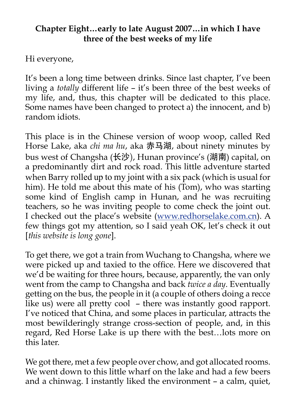#### **Chapter Eight…early to late August 2007…in which I have three of the best weeks of my life**

Hi everyone,

It's been a long time between drinks. Since last chapter, I've been living a *totally* different life – it's been three of the best weeks of my life, and, thus, this chapter will be dedicated to this place. Some names have been changed to protect a) the innocent, and b) random idiots.

This place is in the Chinese version of woop woop, called Red Horse Lake, aka *chi ma hu*, aka 赤马湖, about ninety minutes by bus west of Changsha (长沙), Hunan province's (湖南) capital, on a predominantly dirt and rock road. This little adventure started when Barry rolled up to my joint with a six pack (which is usual for him). He told me about this mate of his (Tom), who was starting some kind of English camp in Hunan, and he was recruiting teachers, so he was inviting people to come check the joint out. I checked out the place's website ([www.redhorselake.com.cn](http://www.redhorselake.com.cn/)). A few things got my attention, so I said yeah OK, let's check it out [*this website is long gone*].

To get there, we got a train from Wuchang to Changsha, where we were picked up and taxied to the office. Here we discovered that we'd be waiting for three hours, because, apparently, the van only went from the camp to Changsha and back *twice a day*. Eventually getting on the bus, the people in it (a couple of others doing a recce like us) were all pretty cool – there was instantly good rapport. I've noticed that China, and some places in particular, attracts the most bewilderingly strange cross-section of people, and, in this regard, Red Horse Lake is up there with the best…lots more on this later.

We got there, met a few people over chow, and got allocated rooms. We went down to this little wharf on the lake and had a few beers and a chinwag. I instantly liked the environment – a calm, quiet,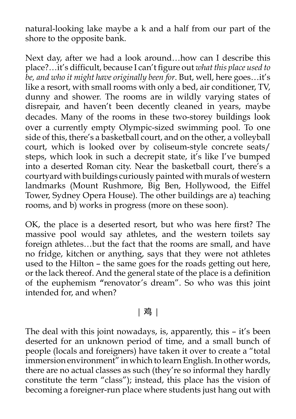natural-looking lake maybe a k and a half from our part of the shore to the opposite bank.

Next day, after we had a look around…how can I describe this place?…it's difficult, because I can't figure out *what this place used to be, and who it might have originally been for*. But, well, here goes…it's like a resort, with small rooms with only a bed, air conditioner, TV, dunny and shower. The rooms are in wildly varying states of disrepair, and haven't been decently cleaned in years, maybe decades. Many of the rooms in these two-storey buildings look over a currently empty Olympic-sized swimming pool. To one side of this, there's a basketball court, and on the other, a volleyball court, which is looked over by coliseum-style concrete seats/ steps, which look in such a decrepit state, it's like I've bumped into a deserted Roman city. Near the basketball court, there's a courtyard with buildings curiously painted with murals of western landmarks (Mount Rushmore, Big Ben, Hollywood, the Eiffel Tower, Sydney Opera House). The other buildings are a) teaching rooms, and b) works in progress (more on these soon).

OK, the place is a deserted resort, but who was here first? The massive pool would say athletes, and the western toilets say foreign athletes…but the fact that the rooms are small, and have no fridge, kitchen or anything, says that they were not athletes used to the Hilton – the same goes for the roads getting out here, or the lack thereof. And the general state of the place is a definition of the euphemism **"**renovator's dream". So who was this joint intended for, and when?

### | 鸡 |

The deal with this joint nowadays, is, apparently, this – it's been deserted for an unknown period of time, and a small bunch of people (locals and foreigners) have taken it over to create a "total immersion environment" in which to learn English. In other words, there are no actual classes as such (they're so informal they hardly constitute the term "class"); instead, this place has the vision of becoming a foreigner-run place where students just hang out with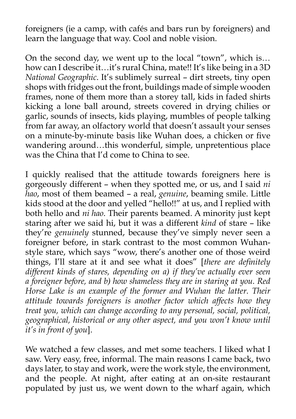foreigners (ie a camp, with cafés and bars run by foreigners) and learn the language that way. Cool and noble vision.

On the second day, we went up to the local "town", which is… how can I describe it…it's rural China, mate!! It's like being in a 3D *National Geographic*. It's sublimely surreal – dirt streets, tiny open shops with fridges out the front, buildings made of simple wooden frames, none of them more than a storey tall, kids in faded shirts kicking a lone ball around, streets covered in drying chilies or garlic, sounds of insects, kids playing, mumbles of people talking from far away, an olfactory world that doesn't assault your senses on a minute-by-minute basis like Wuhan does, a chicken or five wandering around…this wonderful, simple, unpretentious place was the China that I'd come to China to see.

I quickly realised that the attitude towards foreigners here is gorgeously different – when they spotted me, or us, and I said *ni hao*, most of them beamed – a real, *genuine*, beaming smile. Little kids stood at the door and yelled "hello!!" at us, and I replied with both hello and *ni hao*. Their parents beamed. A minority just kept staring after we said hi, but it was a different *kind* of stare – like they're *genuinely* stunned, because they've simply never seen a foreigner before, in stark contrast to the most common Wuhanstyle stare, which says "wow, there's another one of those weird things, I'll stare at it and see what it does" [*there are definitely different kinds of stares, depending on a) if they've actually ever seen a foreigner before, and b) how shameless they are in staring at you. Red Horse Lake is an example of the former and Wuhan the latter. Their attitude towards foreigners is another factor which affects how they treat you, which can change according to any personal, social, political, geographical, historical or any other aspect, and you won't know until it's in front of you*].

We watched a few classes, and met some teachers. I liked what I saw. Very easy, free, informal. The main reasons I came back, two days later, to stay and work, were the work style, the environment, and the people. At night, after eating at an on-site restaurant populated by just us, we went down to the wharf again, which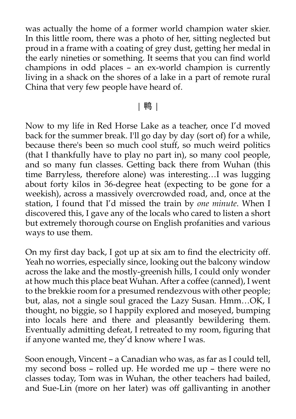was actually the home of a former world champion water skier. In this little room, there was a photo of her, sitting neglected but proud in a frame with a coating of grey dust, getting her medal in the early nineties or something. It seems that you can find world champions in odd places – an ex-world champion is currently living in a shack on the shores of a lake in a part of remote rural China that very few people have heard of.

#### | 鸭 |

Now to my life in Red Horse Lake as a teacher, once I'd moved back for the summer break. I'll go day by day (sort of) for a while, because there's been so much cool stuff, so much weird politics (that I thankfully have to play no part in), so many cool people, and so many fun classes. Getting back there from Wuhan (this time Barryless, therefore alone) was interesting…I was lugging about forty kilos in 36-degree heat (expecting to be gone for a weekish), across a massively overcrowded road, and, once at the station, I found that I'd missed the train by *one minute*. When I discovered this, I gave any of the locals who cared to listen a short but extremely thorough course on English profanities and various ways to use them.

On my first day back, I got up at six am to find the electricity off. Yeah no worries, especially since, looking out the balcony window across the lake and the mostly-greenish hills, I could only wonder at how much this place beat Wuhan. After a coffee (canned), I went to the brekkie room for a presumed rendezvous with other people; but, alas, not a single soul graced the Lazy Susan. Hmm…OK, I thought, no biggie, so I happily explored and moseyed, bumping into locals here and there and pleasantly bewildering them. Eventually admitting defeat, I retreated to my room, figuring that if anyone wanted me, they'd know where I was.

Soon enough, Vincent – a Canadian who was, as far as I could tell, my second boss – rolled up. He worded me up – there were no classes today, Tom was in Wuhan, the other teachers had bailed, and Sue-Lin (more on her later) was off gallivanting in another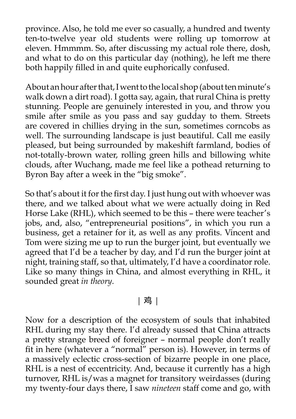province. Also, he told me ever so casually, a hundred and twenty ten-to-twelve year old students were rolling up tomorrow at eleven. Hmmmm. So, after discussing my actual role there, dosh, and what to do on this particular day (nothing), he left me there both happily filled in and quite euphorically confused.

About an hour after that, I went to the local shop (about ten minute's walk down a dirt road). I gotta say, again, that rural China is pretty stunning. People are genuinely interested in you, and throw you smile after smile as you pass and say gudday to them. Streets are covered in chillies drying in the sun, sometimes corncobs as well. The surrounding landscape is just beautiful. Call me easily pleased, but being surrounded by makeshift farmland, bodies of not-totally-brown water, rolling green hills and billowing white clouds, after Wuchang, made me feel like a pothead returning to Byron Bay after a week in the "big smoke".

So that's about it for the first day. I just hung out with whoever was there, and we talked about what we were actually doing in Red Horse Lake (RHL), which seemed to be this – there were teacher's jobs, and, also, "entrepreneurial positions", in which you run a business, get a retainer for it, as well as any profits. Vincent and Tom were sizing me up to run the burger joint, but eventually we agreed that I'd be a teacher by day, and I'd run the burger joint at night, training staff, so that, ultimately, I'd have a coordinator role. Like so many things in China, and almost everything in RHL, it sounded great *in theory*.

### | 鸡 |

Now for a description of the ecosystem of souls that inhabited RHL during my stay there. I'd already sussed that China attracts a pretty strange breed of foreigner – normal people don't really fit in here (whatever a "normal" person is). However, in terms of a massively eclectic cross-section of bizarre people in one place, RHL is a nest of eccentricity. And, because it currently has a high turnover, RHL is/was a magnet for transitory weirdasses (during my twenty-four days there, I saw *nineteen* staff come and go, with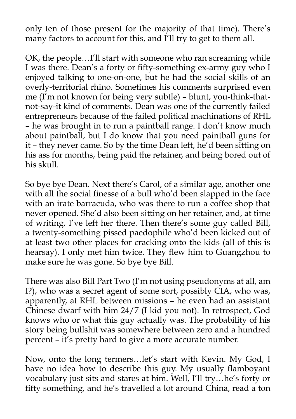only ten of those present for the majority of that time). There's many factors to account for this, and I'll try to get to them all.

OK, the people…I'll start with someone who ran screaming while I was there. Dean's a forty or fifty-something ex-army guy who I enjoyed talking to one-on-one, but he had the social skills of an overly-territorial rhino. Sometimes his comments surprised even me (I'm not known for being very subtle) – blunt, you-think-thatnot-say-it kind of comments. Dean was one of the currently failed entrepreneurs because of the failed political machinations of RHL – he was brought in to run a paintball range. I don't know much about paintball, but I do know that you need paintball guns for it – they never came. So by the time Dean left, he'd been sitting on his ass for months, being paid the retainer, and being bored out of his skull.

So bye bye Dean. Next there's Carol, of a similar age, another one with all the social finesse of a bull who'd been slapped in the face with an irate barracuda, who was there to run a coffee shop that never opened. She'd also been sitting on her retainer, and, at time of writing, I've left her there. Then there's some guy called Bill, a twenty-something pissed paedophile who'd been kicked out of at least two other places for cracking onto the kids (all of this is hearsay). I only met him twice. They flew him to Guangzhou to make sure he was gone. So bye bye Bill.

There was also Bill Part Two (I'm not using pseudonyms at all, am I?), who was a secret agent of some sort, possibly CIA, who was, apparently, at RHL between missions – he even had an assistant Chinese dwarf with him 24/7 (I kid you not). In retrospect, God knows who or what this guy actually was. The probability of his story being bullshit was somewhere between zero and a hundred percent – it's pretty hard to give a more accurate number.

Now, onto the long termers…let's start with Kevin. My God, I have no idea how to describe this guy. My usually flamboyant vocabulary just sits and stares at him. Well, I'll try…he's forty or fifty something, and he's travelled a lot around China, read a ton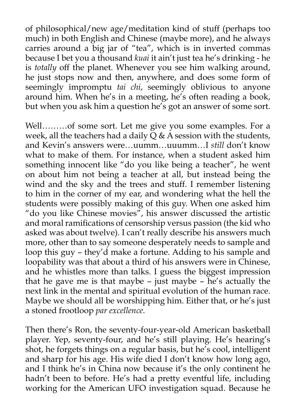of philosophical/new age/meditation kind of stuff (perhaps too much) in both English and Chinese (maybe more), and he always carries around a big jar of "tea", which is in inverted commas because I bet you a thousand *kuai* it ain't just tea he's drinking - he is *totally* off the planet. Whenever you see him walking around, he just stops now and then, anywhere, and does some form of seemingly impromptu *tai chi*, seemingly oblivious to anyone around him. When he's in a meeting, he's often reading a book, but when you ask him a question he's got an answer of some sort.

Well………of some sort. Let me give you some examples. For a week, all the teachers had a daily  $\tilde{Q}$  & A session with the students, and Kevin's answers were…uumm…uuumm…I *still* don't know what to make of them. For instance, when a student asked him something innocent like "do you like being a teacher", he went on about him not being a teacher at all, but instead being the wind and the sky and the trees and stuff. I remember listening to him in the corner of my ear, and wondering what the hell the students were possibly making of this guy. When one asked him "do you like Chinese movies", his answer discussed the artistic and moral ramifications of censorship versus passion (the kid who asked was about twelve). I can't really describe his answers much more, other than to say someone desperately needs to sample and loop this guy – they'd make a fortune. Adding to his sample and loopability was that about a third of his answers were in Chinese, and he whistles more than talks. I guess the biggest impression that he gave me is that maybe – just maybe –  $\breve{he}$ 's actually the next link in the mental and spiritual evolution of the human race. Maybe we should all be worshipping him. Either that, or he's just a stoned frootloop *par excellence*.

Then there's Ron, the seventy-four-year-old American basketball player. Yep, seventy-four, and he's still playing. He's hearing's shot, he forgets things on a regular basis, but he's cool, intelligent and sharp for his age. His wife died I don't know how long ago, and I think he's in China now because it's the only continent he hadn't been to before. He's had a pretty eventful life, including working for the American UFO investigation squad. Because he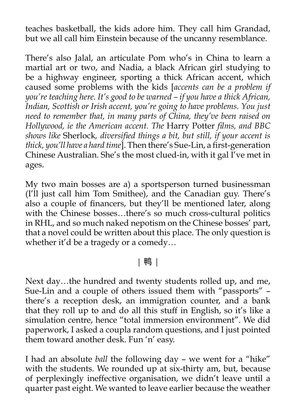teaches basketball, the kids adore him. They call him Grandad, but we all call him Einstein because of the uncanny resemblance.

There's also Jalal, an articulate Pom who's in China to learn a martial art or two, and Nadia, a black African girl studying to be a highway engineer, sporting a thick African accent, which caused some problems with the kids [*accents can be a problem if you're teaching here. It's good to be warned – if you have a thick African, Indian, Scottish or Irish accent, you're going to have problems. You just need to remember that, in many parts of China, they've been raised on Hollywood, ie the American accent. The* Harry Potter *films, and BBC shows like* Sherlock*, diversified things a bit, but still, if your accent is thick, you'll have a hard time*]. Then there's Sue-Lin, a first-generation Chinese Australian. She's the most clued-in, with it gal I've met in ages.

My two main bosses are a) a sportsperson turned businessman (I'll just call him Tom Smithee), and the Canadian guy. There's also a couple of financers, but they'll be mentioned later, along with the Chinese bosses...there's so much cross-cultural politics in RHL, and so much naked nepotism on the Chinese bosses' part, that a novel could be written about this place. The only question is whether it'd be a tragedy or a comedy…

# | 鸭 |

Next day…the hundred and twenty students rolled up, and me, Sue-Lin and a couple of others issued them with "passports" – there's a reception desk, an immigration counter, and a bank that they roll up to and do all this stuff in English, so it's like a simulation centre, hence "total immersion environment". We did paperwork, I asked a coupla random questions, and I just pointed them toward another desk. Fun 'n' easy.

I had an absolute *ball* the following day – we went for a "hike" with the students. We rounded up at six-thirty am, but, because of perplexingly ineffective organisation, we didn't leave until a quarter past eight. We wanted to leave earlier because the weather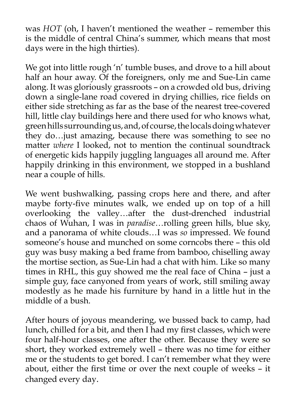was *HOT* (oh, I haven't mentioned the weather – remember this is the middle of central China's summer, which means that most days were in the high thirties).

We got into little rough 'n' tumble buses, and drove to a hill about half an hour away. Of the foreigners, only me and Sue-Lin came along. It was gloriously grassroots – on a crowded old bus, driving down a single-lane road covered in drying chillies, rice fields on either side stretching as far as the base of the nearest tree-covered hill, little clay buildings here and there used for who knows what, green hills surrounding us, and, of course, the locals doing whatever they do…just amazing, because there was something to see no matter *where* I looked, not to mention the continual soundtrack of energetic kids happily juggling languages all around me. After happily drinking in this environment, we stopped in a bushland near a couple of hills.

We went bushwalking, passing crops here and there, and after maybe forty-five minutes walk, we ended up on top of a hill overlooking the valley…after the dust-drenched industrial chaos of Wuhan, I was in *paradise*…rolling green hills, blue sky, and a panorama of white clouds…I was *so* impressed. We found someone's house and munched on some corncobs there – this old guy was busy making a bed frame from bamboo, chiselling away the mortise section, as Sue-Lin had a chat with him. Like so many times in RHL, this guy showed me the real face of China – just a simple guy, face canyoned from years of work, still smiling away modestly as he made his furniture by hand in a little hut in the middle of a bush.

After hours of joyous meandering, we bussed back to camp, had lunch, chilled for a bit, and then I had my first classes, which were four half-hour classes, one after the other. Because they were so short, they worked extremely well – there was no time for either me or the students to get bored. I can't remember what they were about, either the first time or over the next couple of weeks – it changed every day.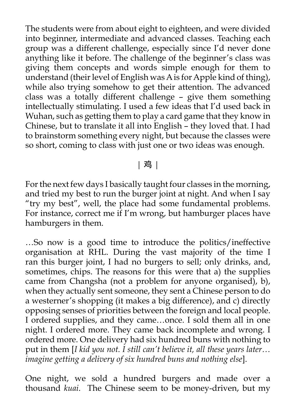The students were from about eight to eighteen, and were divided into beginner, intermediate and advanced classes. Teaching each group was a different challenge, especially since I'd never done anything like it before. The challenge of the beginner's class was giving them concepts and words simple enough for them to understand (their level of English was A is for Apple kind of thing), while also trying somehow to get their attention. The advanced class was a totally different challenge – give them something intellectually stimulating. I used a few ideas that I'd used back in Wuhan, such as getting them to play a card game that they know in Chinese, but to translate it all into English – they loved that. I had to brainstorm something every night, but because the classes were so short, coming to class with just one or two ideas was enough.

| 鸡 |

For the next few days I basically taught four classes in the morning, and tried my best to run the burger joint at night. And when I say "try my best", well, the place had some fundamental problems. For instance, correct me if I'm wrong, but hamburger places have hamburgers in them.

…So now is a good time to introduce the politics/ineffective organisation at RHL. During the vast majority of the time I ran this burger joint, I had no burgers to sell; only drinks, and, sometimes, chips. The reasons for this were that a) the supplies came from Changsha (not a problem for anyone organised), b), when they actually sent someone, they sent a Chinese person to do a westerner's shopping (it makes a big difference), and c) directly opposing senses of priorities between the foreign and local people. I ordered supplies, and they came…once. I sold them all in one night. I ordered more. They came back incomplete and wrong. I ordered more. One delivery had six hundred buns with nothing to put in them [*I kid you not. I still can't believe it, all these years later… imagine getting a delivery of six hundred buns and nothing else*].

One night, we sold a hundred burgers and made over a thousand *kuai*. The Chinese seem to be money-driven, but my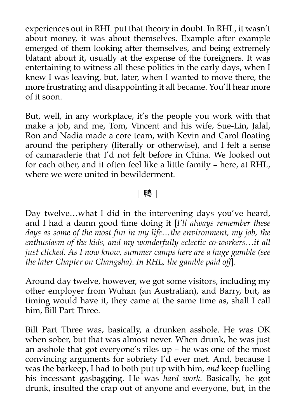experiences out in RHL put that theory in doubt. In RHL, it wasn't about money, it was about themselves. Example after example emerged of them looking after themselves, and being extremely blatant about it, usually at the expense of the foreigners. It was entertaining to witness all these politics in the early days, when I knew I was leaving, but, later, when I wanted to move there, the more frustrating and disappointing it all became. You'll hear more of it soon.

But, well, in any workplace, it's the people you work with that make a job, and me, Tom, Vincent and his wife, Sue-Lin, Jalal, Ron and Nadia made a core team, with Kevin and Carol floating around the periphery (literally or otherwise), and I felt a sense of camaraderie that I'd not felt before in China. We looked out for each other, and it often feel like a little family – here, at RHL, where we were united in bewilderment.

# | 鸭 |

Day twelve…what I did in the intervening days you've heard, and I had a damn good time doing it [*I'll always remember these days as some of the most fun in my life…the environment, my job, the enthusiasm of the kids, and my wonderfully eclectic co-workers…it all just clicked. As I now know, summer camps here are a huge gamble (see the later Chapter on Changsha). In RHL, the gamble paid off*].

Around day twelve, however, we got some visitors, including my other employer from Wuhan (an Australian), and Barry, but, as timing would have it, they came at the same time as, shall I call him, Bill Part Three.

Bill Part Three was, basically, a drunken asshole. He was OK when sober, but that was almost never. When drunk, he was just an asshole that got everyone's riles up – he was one of the most convincing arguments for sobriety I'd ever met. And, because I was the barkeep, I had to both put up with him, *and* keep fuelling his incessant gasbagging. He was *hard work*. Basically, he got drunk, insulted the crap out of anyone and everyone, but, in the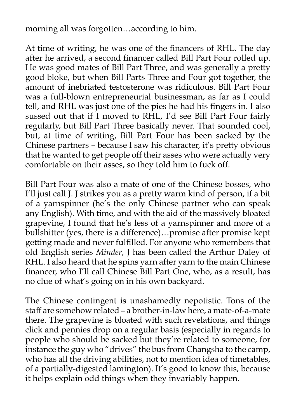morning all was forgotten…according to him.

At time of writing, he was one of the financers of RHL. The day after he arrived, a second financer called Bill Part Four rolled up. He was good mates of Bill Part Three, and was generally a pretty good bloke, but when Bill Parts Three and Four got together, the amount of inebriated testosterone was ridiculous. Bill Part Four was a full-blown entrepreneurial businessman, as far as I could tell, and RHL was just one of the pies he had his fingers in. I also sussed out that if I moved to RHL, I'd see Bill Part Four fairly regularly, but Bill Part Three basically never. That sounded cool, but, at time of writing, Bill Part Four has been sacked by the Chinese partners – because I saw his character, it's pretty obvious that he wanted to get people off their asses who were actually very comfortable on their asses, so they told him to fuck off.

Bill Part Four was also a mate of one of the Chinese bosses, who I'll just call J. J strikes you as a pretty warm kind of person, if a bit of a yarnspinner (he's the only Chinese partner who can speak any English). With time, and with the aid of the massively bloated grapevine, I found that he's less of a yarnspinner and more of a bullshitter (yes, there is a difference)…promise after promise kept getting made and never fulfilled. For anyone who remembers that old English series *Minder*, J has been called the Arthur Daley of RHL. I also heard that he spins yarn after yarn to the main Chinese financer, who I'll call Chinese Bill Part One, who, as a result, has no clue of what's going on in his own backyard.

The Chinese contingent is unashamedly nepotistic. Tons of the staff are somehow related – a brother-in-law here, a mate-of-a-mate there. The grapevine is bloated with such revelations, and things click and pennies drop on a regular basis (especially in regards to people who should be sacked but they're related to someone, for instance the guy who "drives" the bus from Changsha to the camp, who has all the driving abilities, not to mention idea of timetables, of a partially-digested lamington). It's good to know this, because it helps explain odd things when they invariably happen.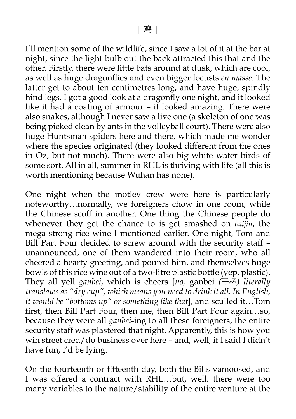I'll mention some of the wildlife, since I saw a lot of it at the bar at night, since the light bulb out the back attracted this that and the other. Firstly, there were little bats around at dusk, which are cool, as well as huge dragonflies and even bigger locusts *en masse*. The latter get to about ten centimetres long, and have huge, spindly hind legs. I got a good look at a dragonfly one night, and it looked like it had a coating of armour – it looked amazing. There were also snakes, although I never saw a live one (a skeleton of one was being picked clean by ants in the volleyball court). There were also huge Huntsman spiders here and there, which made me wonder where the species originated (they looked different from the ones in Oz, but not much). There were also big white water birds of some sort. All in all, summer in RHL is thriving with life (all this is worth mentioning because Wuhan has none).

One night when the motley crew were here is particularly noteworthy…normally, we foreigners chow in one room, while the Chinese scoff in another. One thing the Chinese people do whenever they get the chance to is get smashed on *baijiu*, the mega-strong rice wine I mentioned earlier. One night, Tom and Bill Part Four decided to screw around with the security staff – unannounced, one of them wandered into their room, who all cheered a hearty greeting, and poured him, and themselves huge bowls of this rice wine out of a two-litre plastic bottle (yep, plastic). They all yell *ganbei*, which is cheers [*no,* ganbei *(*干杯*) literally translates as "dry cup", which means you need to drink it all. In English, it would be "bottoms up" or something like that*], and sculled it…Tom first, then Bill Part Four, then me, then Bill Part Four again…so, because they were all *ganbei*-ing to all these foreigners, the entire security staff was plastered that night. Apparently, this is how you win street cred/do business over here – and, well, if I said I didn't have fun, I'd be lying.

On the fourteenth or fifteenth day, both the Bills vamoosed, and I was offered a contract with RHL…but, well, there were too many variables to the nature/stability of the entire venture at the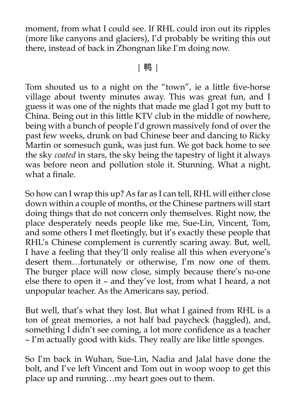moment, from what I could see. If RHL could iron out its ripples (more like canyons and glaciers), I'd probably be writing this out there, instead of back in Zhongnan like I'm doing now.

### | 鸭 |

Tom shouted us to a night on the "town", ie a little five-horse village about twenty minutes away. This was great fun, and I guess it was one of the nights that made me glad I got my butt to China. Being out in this little KTV club in the middle of nowhere, being with a bunch of people I'd grown massively fond of over the past few weeks, drunk on bad Chinese beer and dancing to Ricky Martin or somesuch gunk, was just fun. We got back home to see the sky *coated* in stars, the sky being the tapestry of light it always was before neon and pollution stole it. Stunning. What a night, what a finale.

So how can I wrap this up? As far as I can tell, RHL will either close down within a couple of months, or the Chinese partners will start doing things that do not concern only themselves. Right now, the place desperately needs people like me, Sue-Lin, Vincent, Tom, and some others I met fleetingly, but it's exactly these people that RHL's Chinese complement is currently scaring away. But, well, I have a feeling that they'll only realise all this when everyone's desert them…fortunately or otherwise, I'm now one of them. The burger place will now close, simply because there's no-one else there to open it – and they've lost, from what I heard, a not unpopular teacher. As the Americans say, period.

But well, that's what they lost. But what I gained from RHL is a ton of great memories, a not half bad paycheck (haggled), and, something I didn't see coming, a lot more confidence as a teacher – I'm actually good with kids. They really are like little sponges.

So I'm back in Wuhan, Sue-Lin, Nadia and Jalal have done the bolt, and I've left Vincent and Tom out in woop woop to get this place up and running…my heart goes out to them.